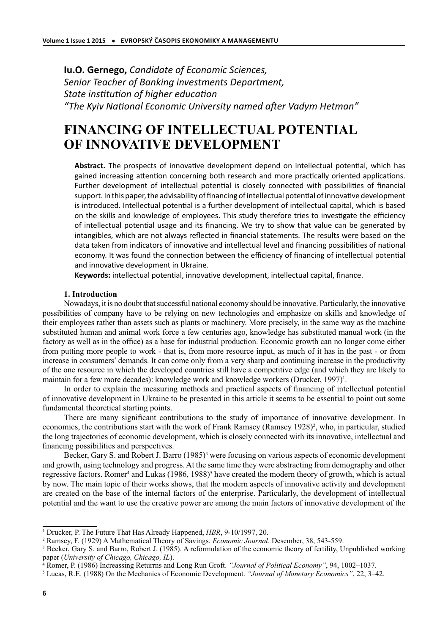**Iu.O. Gernego,** *Candidate of Economic Sciences, Senior Teacher of Banking investments Department, State institution of higher education* "The Kyiv National Economic University named after Vadym Hetman"

# **FINANCING OF INTELLECTUAL POTENTIAL OF INNOVATIVE DEVELOPMENT**

Abstract. The prospects of innovative development depend on intellectual potential, which has gained increasing attention concerning both research and more practically oriented applications. Further development of intellectual potential is closely connected with possibilities of financial support. In this paper, the advisability of financing of intellectual potential of innovative development is introduced. Intellectual potential is a further development of intellectual capital, which is based on the skills and knowledge of employees. This study therefore tries to investigate the efficiency of intellectual potential usage and its financing. We try to show that value can be generated by intangibles, which are not always reflected in financial statements. The results were based on the data taken from indicators of innovative and intellectual level and financing possibilities of national economy. It was found the connection between the efficiency of financing of intellectual potential and innovative development in Ukraine.

Keywords: intellectual potential, innovative development, intellectual capital, finance.

# **1. Introduction**

Nowadays, it is no doubt that successful national economy should be innovative. Particularly, the innovative possibilities of company have to be relying on new technologies and emphasize on skills and knowledge of their employees rather than assets such as plants or machinery. More precisely, in the same way as the machine substituted human and animal work force a few centuries ago, knowledge has substituted manual work (in the factory as well as in the office) as a base for industrial production. Economic growth can no longer come either from putting more people to work - that is, from more resource input, as much of it has in the past - or from increase in consumers' demands. It can come only from a very sharp and continuing increase in the productivity of the one resource in which the developed countries still have a competitive edge (and which they are likely to maintain for a few more decades): knowledge work and knowledge workers (Drucker, 1997)<sup>1</sup>.

In order to explain the measuring methods and practical aspects of financing of intellectual potential of innovative development in Ukraine to be presented in this article it seems to be essential to point out some fundamental theoretical starting points.

There are many significant contributions to the study of importance of innovative development. In economics, the contributions start with the work of Frank Ramsey (Ramsey 1928)<sup>2</sup>, who, in particular, studied the long trajectories of economic development, which is closely connected with its innovative, intellectual and financing possibilities and perspectives.

Becker, Gary S. and Robert J. Barro (1985)<sup>3</sup> were focusing on various aspects of economic development and growth, using technology and progress. At the same time they were abstracting from demography and other regressive factors. Romer<sup>4</sup> and Lukas (1986, 1988)<sup>5</sup> have created the modern theory of growth, which is actual by now. The main topic of their works shows, that the modern aspects of innovative activity and development are created on the base of the internal factors of the enterprise. Particularly, the development of intellectual potential and the want to use the creative power are among the main factors of innovative development of the

<sup>&</sup>lt;sup>1</sup> Drucker, P. The Future That Has Already Happened, HBR, 9-10/1997, 20.

<sup>2</sup> Ramsey, F. (1929) A Mathematical Theory of Savings. *Economic Journal*. Desember, 38, 543-559.

<sup>&</sup>lt;sup>3</sup> Becker, Gary S. and Barro, Robert J. (1985). A reformulation of the economic theory of fertility, Unpublished working paper (*University of Chicago, Chicago, IL*).

<sup>4</sup> Romer, P. (1986) Increassing Returrns and Long Run Groft. *"Journal of Political Economy"*, 94, 1002–1037.

<sup>5</sup> Lucas, R.E. (1988) On the Mechanics of Economic Development. *"Journal of Monetary Economics"*, 22, 3–42.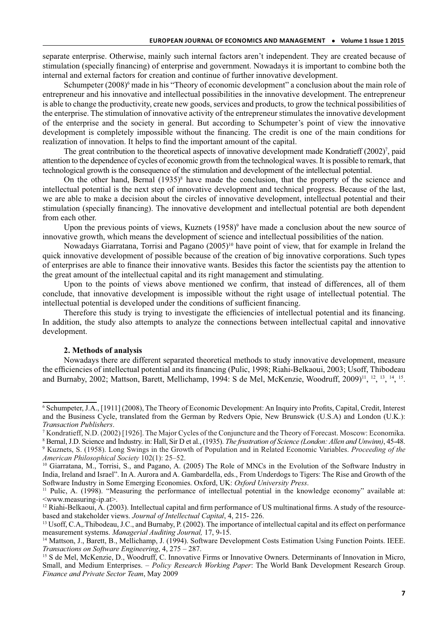separate enterprise. Otherwise, mainly such internal factors aren't independent. They are created because of stimulation (specially financing) of enterprise and government. Nowadays it is important to combine both the internal and external factors for creation and continue of further innovative development.

Schumpeter (2008)<sup>6</sup> made in his "Theory of economic development" a conclusion about the main role of entrepreneur and his innovative and intellectual possibilities in the innovative development. The entrepreneur is able to change the productivity, create new goods, services and products, to grow the technical possibilities of the enterprise. The stimulation of innovative activity of the entrepreneur stimulates the innovative development of the enterprise and the society in general. But according to Schumpeter's point of view the innovative development is completely impossible without the financing. The credit is one of the main conditions for realization of innovation. It helps to find the important amount of the capital.

The great contribution to the theoretical aspects of innovative development made Kondratieff (2002)<sup>7</sup>, paid attention to the dependence of cycles of economic growth from the technological waves. It is possible to remark, that technological growth is the consequence of the stimulation and development of the intellectual potential.

On the other hand, Bernal  $(1935)^8$  have made the conclusion, that the property of the science and intellectual potential is the next step of innovative development and technical progress. Because of the last, we are able to make a decision about the circles of innovative development, intellectual potential and their stimulation (specially financing). The innovative development and intellectual potential are both dependent from each other.

Upon the previous points of views, Kuznets (1958)<sup>9</sup> have made a conclusion about the new source of innovative growth, which means the development of science and intellectual possibilities of the nation.

Nowadays Giarratana, Torrisi and Pagano (2005)<sup>10</sup> have point of view, that for example in Ireland the quick innovative development of possible because of the creation of big innovative corporations. Such types of enterprises are able to finance their innovative wants. Besides this factor the scientists pay the attention to the great amount of the intellectual capital and its right management and stimulating.

Upon to the points of views above mentioned we confirm, that instead of differences, all of them conclude, that innovative development is impossible without the right usage of intellectual potential. The intellectual potential is developed under the conditions of sufficient financing.

Therefore this study is trying to investigate the efficiencies of intellectual potential and its financing. In addition, the study also attempts to analyze the connections between intellectual capital and innovative development.

# **2. Methods of analysis**

Nowadays there are different separated theoretical methods to study innovative development, measure the efficiencies of intellectual potential and its financing (Pulic, 1998; Riahi-Belkaoui, 2003; Usoff, Thibodeau and Burnaby, 2002; Mattson, Barett, Mellichamp, 1994: S de Mel, McKenzie, Woodruff, 2009)<sup>11</sup>, <sup>12</sup>, <sup>13</sup>, <sup>14</sup>, <sup>15</sup>.

<sup>6</sup> Schumpeter, J.A., [1911] (2008), The Theory of Economic Development: An Inquiry into Profits, Capital, Credit, Interest and the Business Cycle, translated from the German by Redvers Opie, New Brunswick (U.S.A) and London (U.K.): *Transaction Publishers*.

<sup>7</sup> Kondratieff, N.D. (2002) [1926]. The Major Cycles of the Conjuncture and the Theory of Forecast. Moscow: Economika.

<sup>8</sup> Bernal, J.D. Science and Industry. in: Hall, Sir D et al., (1935). *The frustration of Science (London: Allen and Unwinn)*, 45-48.

<sup>9</sup> Kuznets, S. (1958). Long Swings in the Growth of Population and in Related Economic Variables. *Proceeding of the American Philosophical Society* 102(1): 25–52.

<sup>10</sup> Giarratana, M., Torrisi, S., and Pagano, A. (2005) The Role of MNCs in the Evolution of the Software Industry in India, Ireland and Israel". In A. Aurora and A. Gambardella, eds., From Underdogs to Tigers: The Rise and Growth of the Software Industry in Some Emerging Economies. Oxford, UK: *Oxford University Press*.

<sup>&</sup>lt;sup>11</sup> Pulic, A. (1998). "Measuring the performance of intellectual potential in the knowledge economy" available at: <www.measuring-ip.at>.

 $12$  Riahi-Belkaoui, A. (2003). Intellectual capital and firm performance of US multinational firms. A study of the resourcebased and stakeholder views. *Journal of Intellectual Capital*, 4, 215- 226.

<sup>&</sup>lt;sup>13</sup> Usoff, C.A., Thibodeau, J.C., and Burnaby, P. (2002). The importance of intellectual capital and its effect on performance measurement systems. *Managerial Auditing Journal,* 17, 9-15.

<sup>&</sup>lt;sup>14</sup> Mattson, J., Barett, B., Mellichamp, J. (1994). Software Development Costs Estimation Using Function Points. IEEE. *Transactions on Software Engineering*, 4, 275 – 287.

<sup>15</sup> S de Mel, McKenzie, D., Woodruff, C. Innovative Firms or Innovative Owners. Determinants of Innovation in Micro, Small, and Medium Enterprises. – *Policy Research Working Paper*: The World Bank Development Research Group. *Finance and Private Sector Team*, May 2009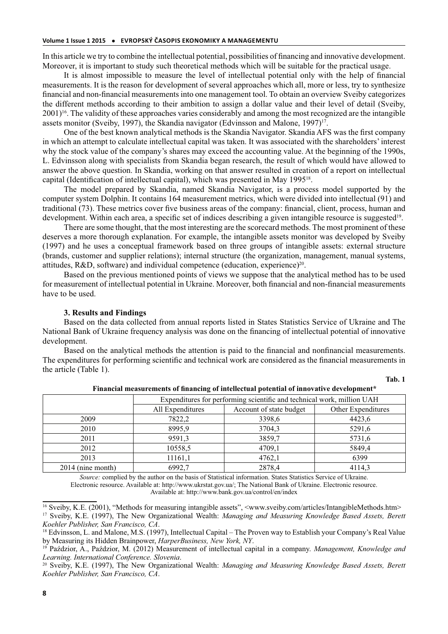In this article we try to combine the intellectual potential, possibilities of financing and innovative development. Moreover, it is important to study such theoretical methods which will be suitable for the practical usage.

It is almost impossible to measure the level of intellectual potential only with the help of financial measurements. It is the reason for development of several approaches which all, more or less, try to synthesize financial and non-financial measurements into one management tool. To obtain an overview Sveiby categorizes the different methods according to their ambition to assign a dollar value and their level of detail (Sveiby, 2001)<sup>16</sup>. The validity of these approaches varies considerably and among the most recognized are the intangible assets monitor (Sveiby, 1997), the Skandia navigator (Edvinsson and Malone,  $1997$ )<sup>17</sup>.

One of the best known analytical methods is the Skandia Navigator. Skandia AFS was the first company in which an attempt to calculate intellectual capital was taken. It was associated with the shareholders' interest why the stock value of the company's shares may exceed the accounting value. At the beginning of the 1990s, L. Edvinsson along with specialists from Skandia began research, the result of which would have allowed to answer the above question. In Skandia, working on that answer resulted in creation of a report on intellectual capital (Identification of intellectual capital), which was presented in May 1995<sup>18</sup>.

The model prepared by Skandia, named Skandia Navigator, is a process model supported by the computer system Dolphin. It contains 164 measurement metrics, which were divided into intellectual (91) and traditional (73). These metrics cover five business areas of the company: financial, client, process, human and development. Within each area, a specific set of indices describing a given intangible resource is suggested<sup>19</sup>.

There are some thought, that the most interesting are the scorecard methods. The most prominent of these deserves a more thorough explanation. For example, the intangible assets monitor was developed by Sveiby (1997) and he uses a conceptual framework based on three groups of intangible assets: external structure (brands, customer and supplier relations); internal structure (the organization, management, manual systems, attitudes,  $R&D$ , software) and individual competence (education, experience)<sup>20</sup>.

Based on the previous mentioned points of views we suppose that the analytical method has to be used for measurement of intellectual potential in Ukraine. Moreover, both financial and non-financial measurements have to be used.

### **3. Results and Findings**

Based on the data collected from annual reports listed in States Statistics Service of Ukraine and The National Bank of Ukraine frequency analysis was done on the financing of intellectual potential of innovative development.

Based on the analytical methods the attention is paid to the financial and nonfinancial measurements. The expenditures for performing scientific and technical work are considered as the financial measurements in the article (Table 1).

| . .<br>۰.<br>۰,<br>×<br>۰, |  |
|----------------------------|--|

|                   | Expenditures for performing scientific and technical work, million UAH |                         |                    |
|-------------------|------------------------------------------------------------------------|-------------------------|--------------------|
|                   | All Expenditures                                                       | Account of state budget | Other Expenditures |
| 2009              | 7822,2                                                                 | 3398,6                  | 4423,6             |
| 2010              | 8995,9                                                                 | 3704,3                  | 5291,6             |
| 2011              | 9591,3                                                                 | 3859,7                  | 5731,6             |
| 2012              | 10558,5                                                                | 4709,1                  | 5849,4             |
| 2013              | 11161,1                                                                | 4762,1                  | 6399               |
| 2014 (nine month) | 6992,7                                                                 | 2878,4                  | 4114,3             |

**Financial measurements of financing of intellectual potential of innovative development\***

*Source:* complied by the author on the basis of Statistical information. States Statistics Service of Ukraine. Electronic resource. Available at: http://www.ukrstat.gov.ua/; The National Bank of Ukraine. Electronic resource. Available at: http://www.bank.gov.ua/control/en/index

<sup>&</sup>lt;sup>16</sup> Sveiby, K.E. (2001), "Methods for measuring intangible assets", <www.sveiby.com/articles/IntangibleMethods.htm> <sup>17</sup> Sveiby, K.E. (1997), The New Organizational Wealth: *Managing and Measuring Knowledge Based Assets, Berett Koehler Publisher, San Francisco, CA*.

<sup>&</sup>lt;sup>18</sup> Edvinsson, L. and Malone, M.S. (1997), Intellectual Capital – The Proven way to Establish your Company's Real Value by Measuring its Hidden Brainpower, *HarperBusiness, New York, NY*.

<sup>19</sup> Paździor, A., Paździor, M. (2012) Measurement of intellectual capital in a company. *Management, Knowledge and Learning. International Conference. Slovenia*.

<sup>20</sup> Sveiby, K.E. (1997), The New Organizational Wealth: *Managing and Measuring Knowledge Based Assets, Berett Koehler Publisher, San Francisco, CA*.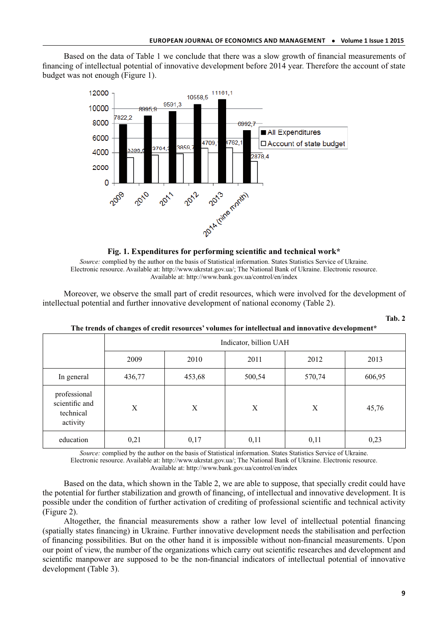Based on the data of Table 1 we conclude that there was a slow growth of financial measurements of financing of intellectual potential of innovative development before 2014 year. Therefore the account of state budget was not enough (Figure 1).



**Fig. 1. Expenditures for performing scientific and technical work\***

*Source:* complied by the author on the basis of Statistical information. States Statistics Service of Ukraine. Electronic resource. Available at: http://www.ukrstat.gov.ua/; The National Bank of Ukraine. Electronic resource. Available at: http://www.bank.gov.ua/control/en/index

Moreover, we observe the small part of credit resources, which were involved for the development of intellectual potential and further innovative development of national economy (Table 2).

| . .<br>۰,<br>۰. |  |
|-----------------|--|
|                 |  |

|                                                         | Indicator, billion UAH |        |        |        |        |
|---------------------------------------------------------|------------------------|--------|--------|--------|--------|
|                                                         | 2009                   | 2010   | 2011   | 2012   | 2013   |
| In general                                              | 436,77                 | 453,68 | 500,54 | 570,74 | 606,95 |
| professional<br>scientific and<br>technical<br>activity | X                      | X      | X      | X      | 45,76  |
| education                                               | 0,21                   | 0,17   | 0,11   | 0,11   | 0,23   |

**The trends of changes of credit resources' volumes for intellectual and innovative development\***

*Source:* complied by the author on the basis of Statistical information. States Statistics Service of Ukraine. Electronic resource. Available at: http://www.ukrstat.gov.ua/; The National Bank of Ukraine. Electronic resource.

Available at: http://www.bank.gov.ua/control/en/index

Based on the data, which shown in the Table 2, we are able to suppose, that specially credit could have the potential for further stabilization and growth of financing, of intellectual and innovative development. It is possible under the condition of further activation of crediting of professional scientific and technical activity (Figure 2).

Altogether, the financial measurements show a rather low level of intellectual potential financing (spatially states financing) in Ukraine. Further innovative development needs the stabilisation and perfection of financing possibilities. But on the other hand it is impossible without non-financial measurements. Upon our point of view, the number of the organizations which carry out scientific researches and development and scientific manpower are supposed to be the non-financial indicators of intellectual potential of innovative development (Table 3).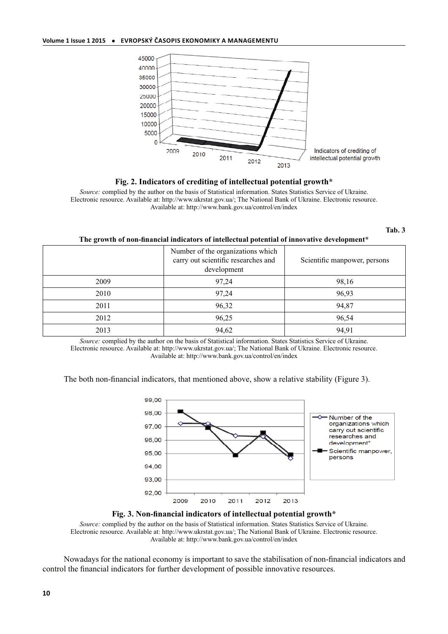

**Fig. 2. Indicators of crediting of intellectual potential growth\***

*Source:* complied by the author on the basis of Statistical information. States Statistics Service of Ukraine. Electronic resource. Available at: http://www.ukrstat.gov.ua/; The National Bank of Ukraine. Electronic resource. Available at: http://www.bank.gov.ua/control/en/index

#### **Tab. 3**

**The growth of non-financial indicators of intellectual potential of innovative development\***

|      | Number of the organizations which<br>carry out scientific researches and<br>development | Scientific manpower, persons |
|------|-----------------------------------------------------------------------------------------|------------------------------|
| 2009 | 97,24                                                                                   | 98,16                        |
| 2010 | 97,24                                                                                   | 96,93                        |
| 2011 | 96,32                                                                                   | 94,87                        |
| 2012 | 96,25                                                                                   | 96,54                        |
| 2013 | 94,62                                                                                   | 94,91                        |

*Source:* complied by the author on the basis of Statistical information. States Statistics Service of Ukraine. Electronic resource. Available at: http://www.ukrstat.gov.ua/; The National Bank of Ukraine. Electronic resource. Available at: http://www.bank.gov.ua/control/en/index

The both non-financial indicators, that mentioned above, show a relative stability (Figure 3).





*Source:* complied by the author on the basis of Statistical information. States Statistics Service of Ukraine. Electronic resource. Available at: http://www.ukrstat.gov.ua/; The National Bank of Ukraine. Electronic resource. Available at: http://www.bank.gov.ua/control/en/index

Nowadays for the national economy is important to save the stabilisation of non-financial indicators and control the financial indicators for further development of possible innovative resources.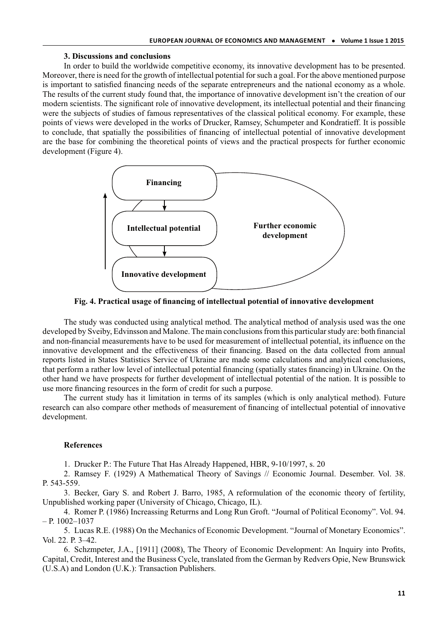# **3. Discussions and conclusions**

In order to build the worldwide competitive economy, its innovative development has to be presented. Moreover, there is need for the growth of intellectual potential for such a goal. For the above mentioned purpose is important to satisfied financing needs of the separate entrepreneurs and the national economy as a whole. The results of the current study found that, the importance of innovative development isn't the creation of our modern scientists. The significant role of innovative development, its intellectual potential and their financing were the subjects of studies of famous representatives of the classical political economy. For example, these points of views were developed in the works of Drucker, Ramsey, Schumpeter and Kondratieff. It is possible to conclude, that spatially the possibilities of financing of intellectual potential of innovative development are the base for combining the theoretical points of views and the practical prospects for further economic development (Figure 4).



**Fig. 4. Practical usage of financing of intellectual potential of innovative development**

The study was conducted using analytical method. The analytical method of analysis used was the one developed by Sveiby, Edvinsson and Malone. The main conclusions from this particular study are: both financial and non-financial measurements have to be used for measurement of intellectual potential, its influence on the innovative development and the effectiveness of their financing. Based on the data collected from annual reports listed in States Statistics Service of Ukraine are made some calculations and analytical conclusions, that perform a rather low level of intellectual potential financing (spatially states financing) in Ukraine. On the other hand we have prospects for further development of intellectual potential of the nation. It is possible to use more financing resources in the form of credit for such a purpose.

The current study has it limitation in terms of its samples (which is only analytical method). Future research can also compare other methods of measurement of financing of intellectual potential of innovative development.

### **References**

1. Drucker P.: The Future That Has Already Happened, HBR, 9-10/1997, s. 20

2. Ramsey F. (1929) A Mathematical Theory of Savings // Economic Journal. Desember. Vol. 38. P. 543-559.

3. Becker, Gary S. and Robert J. Barro, 1985, A reformulation of the economic theory of fertility, Unpublished working paper (University of Chicago, Chicago, IL).

4. Romer P. (1986) Increassing Returrns and Long Run Groft. "Journal of Political Economy". Vol. 94. – P. 1002–1037

5. Lucas R.E. (1988) On the Mechanics of Economic Development. "Journal of Monetary Economics". Vol. 22. Р. 3–42.

6. Schzmpeter, J.A., [1911] (2008), The Theory of Economic Development: An Inquiry into Profits, Capital, Credit, Interest and the Business Cycle, translated from the German by Redvers Opie, New Brunswick (U.S.A) and London (U.K.): Transaction Publishers.